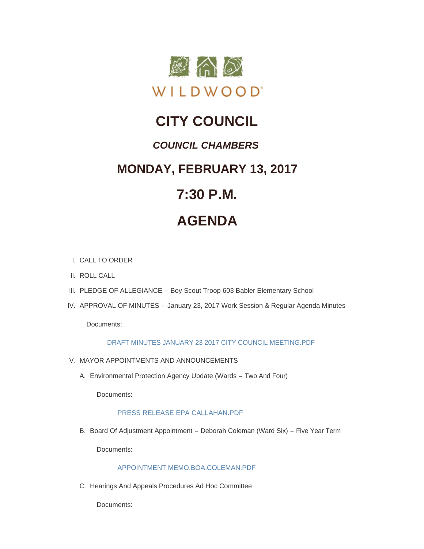

# **CITY COUNCIL**

# *COUNCIL CHAMBERS*

# **MONDAY, FEBRUARY 13, 2017**

# **7:30 P.M.**

# **AGENDA**

- CALL TO ORDER I.
- II. ROLL CALL
- III. PLEDGE OF ALLEGIANCE Boy Scout Troop 603 Babler Elementary School
- IV. APPROVAL OF MINUTES January 23, 2017 Work Session & Regular Agenda Minutes

Documents:

# [DRAFT MINUTES JANUARY 23 2017 CITY COUNCIL MEETING.PDF](http://cityofwildwood.com/AgendaCenter/ViewFile/Item/9735?fileID=14138)

- V. MAYOR APPOINTMENTS AND ANNOUNCEMENTS
	- Environmental Protection Agency Update (Wards Two And Four) A.

Documents:

# [PRESS RELEASE EPA CALLAHAN.PDF](http://cityofwildwood.com/AgendaCenter/ViewFile/Item/9737?fileID=14163)

B. Board Of Adjustment Appointment – Deborah Coleman (Ward Six) – Five Year Term

Documents:

# [APPOINTMENT MEMO.BOA.COLEMAN.PDF](http://cityofwildwood.com/AgendaCenter/ViewFile/Item/9738?fileID=14139)

C. Hearings And Appeals Procedures Ad Hoc Committee

Documents: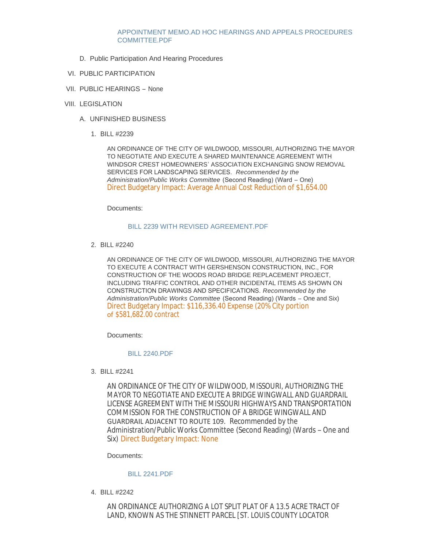# [APPOINTMENT MEMO.AD HOC HEARINGS AND APPEALS PROCEDURES](http://cityofwildwood.com/AgendaCenter/ViewFile/Item/9739?fileID=14140)  COMMITTEE PDF

- D. Public Participation And Hearing Procedures
- VI. PUBLIC PARTICIPATION
- VII. PUBLIC HEARINGS None
- VIII. LEGISLATION
	- UNFINISHED BUSINESS A.
		- BILL #2239 1.

AN ORDINANCE OF THE CITY OF WILDWOOD, MISSOURI, AUTHORIZING THE MAYOR TO NEGOTIATE AND EXECUTE A SHARED MAINTENANCE AGREEMENT WITH WINDSOR CREST HOMEOWNERS' ASSOCIATION EXCHANGING SNOW REMOVAL SERVICES FOR LANDSCAPING SERVICES. *Recommended by the Administration/Public Works Committee* (Second Reading) (Ward – One) Direct Budgetary Impact: Average Annual Cost Reduction of \$1,654.00

Documents:

# [BILL 2239 WITH REVISED AGREEMENT.PDF](http://cityofwildwood.com/AgendaCenter/ViewFile/Item/9745?fileID=14141)

BILL #2240 2.

AN ORDINANCE OF THE CITY OF WILDWOOD, MISSOURI, AUTHORIZING THE MAYOR TO EXECUTE A CONTRACT WITH GERSHENSON CONSTRUCTION, INC., FOR CONSTRUCTION OF THE WOODS ROAD BRIDGE REPLACEMENT PROJECT, INCLUDING TRAFFIC CONTROL AND OTHER INCIDENTAL ITEMS AS SHOWN ON CONSTRUCTION DRAWINGS AND SPECIFICATIONS. *Recommended by the Administration/Public Works Committee* (Second Reading) (Wards – One and Six) Direct Budgetary Impact: \$116,336.40 Expense (20% City portion of \$581,682.00 contract

Documents:

# [BILL 2240.PDF](http://cityofwildwood.com/AgendaCenter/ViewFile/Item/9746?fileID=14142)

BILL #2241 3.

AN ORDINANCE OF THE CITY OF WILDWOOD, MISSOURI, AUTHORIZING THE MAYOR TO NEGOTIATE AND EXECUTE A BRIDGE WINGWALL AND GUARDRAIL LICENSE AGREEMENT WITH THE MISSOURI HIGHWAYS AND TRANSPORTATION COMMISSION FOR THE CONSTRUCTION OF A BRIDGE WINGWALL AND GUARDRAIL ADJACENT TO ROUTE 109. *Recommended by the Administration/Public Works Committee* (Second Reading) (Wards – One and Six) Direct Budgetary Impact: None

Documents:

## [BILL 2241.PDF](http://cityofwildwood.com/AgendaCenter/ViewFile/Item/9747?fileID=14143)

BILL #2242 4.

AN ORDINANCE AUTHORIZING A LOT SPLIT PLAT OF A 13.5 ACRE TRACT OF LAND, KNOWN AS THE STINNETT PARCEL [ST. LOUIS COUNTY LOCATOR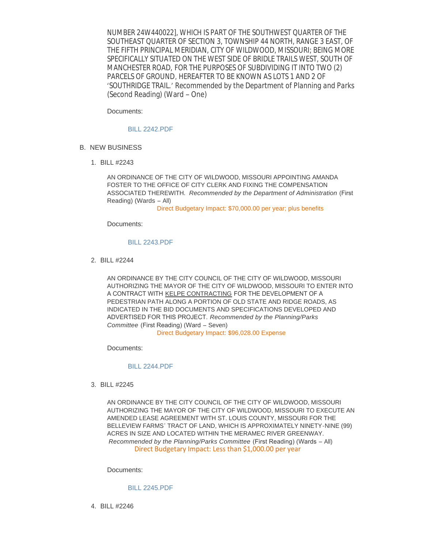NUMBER 24W440022], WHICH IS PART OF THE SOUTHWEST QUARTER OF THE SOUTHEAST QUARTER OF SECTION 3, TOWNSHIP 44 NORTH, RANGE 3 EAST, OF THE FIFTH PRINCIPAL MERIDIAN, CITY OF WILDWOOD, MISSOURI; BEING MORE SPECIFICALLY SITUATED ON THE WEST SIDE OF BRIDLE TRAILS WEST, SOUTH OF MANCHESTER ROAD, FOR THE PURPOSES OF SUBDIVIDING IT INTO TWO (2) PARCELS OF GROUND, HEREAFTER TO BE KNOWN AS LOTS 1 AND 2 OF 'SOUTHRIDGE TRAIL.' *Recommended by the Department of Planning and Parks* (Second Reading) (Ward – One)

 $L_{\rm{max}}$  as the sting  $\sim$  Land as the sting  $\sim$ 

Documents:

#### [BILL 2242.PDF](http://cityofwildwood.com/AgendaCenter/ViewFile/Item/9748?fileID=14144)

- **B. NEW BUSINESS** 
	- BILL #2243 1.

AN ORDINANCE OF THE CITY OF WILDWOOD, MISSOURI APPOINTING AMANDA FOSTER TO THE OFFICE OF CITY CLERK AND FIXING THE COMPENSATION ASSOCIATED THEREWITH. *Recommended by the Department of Administration* (First Reading) (Wards – All)

Direct Budgetary Impact: \$70,000.00 per year; plus benefits

Documents:

#### [BILL 2243.PDF](http://cityofwildwood.com/AgendaCenter/ViewFile/Item/9750?fileID=14145)

BILL #2244 2.

AN ORDINANCE BY THE CITY COUNCIL OF THE CITY OF WILDWOOD, MISSOURI AUTHORIZING THE MAYOR OF THE CITY OF WILDWOOD, MISSOURI TO ENTER INTO A CONTRACT WITH KELPE CONTRACTING FOR THE DEVELOPMENT OF A PEDESTRIAN PATH ALONG A PORTION OF OLD STATE AND RIDGE ROADS, AS INDICATED IN THE BID DOCUMENTS AND SPECIFICATIONS DEVELOPED AND ADVERTISED FOR THIS PROJECT. *Recommended by the Planning/Parks Committee* (First Reading) (Ward – Seven)

Direct Budgetary Impact: \$96,028.00 Expense

Documents:

#### [BILL 2244.PDF](http://cityofwildwood.com/AgendaCenter/ViewFile/Item/9751?fileID=14146)

BILL #2245 3.

AN ORDINANCE BY THE CITY COUNCIL OF THE CITY OF WILDWOOD, MISSOURI AUTHORIZING THE MAYOR OF THE CITY OF WILDWOOD, MISSOURI TO EXECUTE AN AMENDED LEASE AGREEMENT WITH ST. LOUIS COUNTY, MISSOURI FOR THE BELLEVIEW FARMS' TRACT OF LAND, WHICH IS APPROXIMATELY NINETY-NINE (99) ACRES IN SIZE AND LOCATED WITHIN THE MERAMEC RIVER GREENWAY. *Recommended by the Planning/Parks Committee* (First Reading) (Wards – All) Direct Budgetary Impact: Less than \$1,000.00 per year

Documents:

#### [BILL 2245.PDF](http://cityofwildwood.com/AgendaCenter/ViewFile/Item/9752?fileID=14147)

BILL #2246 4.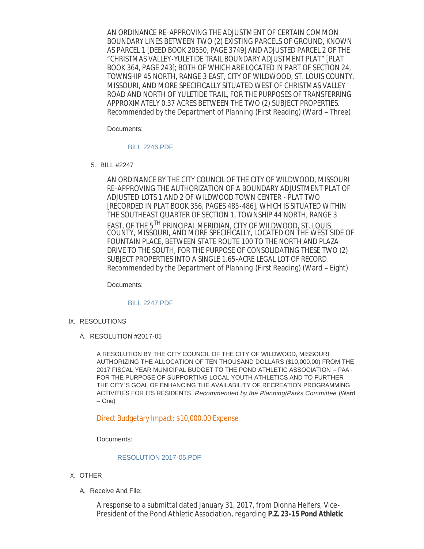AN ORDINANCE RE-APPROVING THE ADJUSTMENT OF CERTAIN COMMON BOUNDARY LINES BETWEEN TWO (2) EXISTING PARCELS OF GROUND, KNOWN AS PARCEL 1 [DEED BOOK 20550, PAGE 3749] AND ADJUSTED PARCEL 2 OF THE "CHRISTMAS VALLEY-YULETIDE TRAIL BOUNDARY ADJUSTMENT PLAT" [PLAT BOOK 364, PAGE 243]; BOTH OF WHICH ARE LOCATED IN PART OF SECTION 24, TOWNSHIP 45 NORTH, RANGE 3 EAST, CITY OF WILDWOOD, ST. LOUIS COUNTY, MISSOURI, AND MORE SPECIFICALLY SITUATED WEST OF CHRISTMAS VALLEY ROAD AND NORTH OF YULETIDE TRAIL, FOR THE PURPOSES OF TRANSFERRING APPROXIMATELY 0.37 ACRES BETWEEN THE TWO (2) SUBJECT PROPERTIES. *Recommended by the Department of Planning* (First Reading) (Ward – Three)

Documents:

## [BILL 2246.PDF](http://cityofwildwood.com/AgendaCenter/ViewFile/Item/9753?fileID=14148)

BILL #2247 5.

AN ORDINANCE BY THE CITY COUNCIL OF THE CITY OF WILDWOOD, MISSOURI RE-APPROVING THE AUTHORIZATION OF A BOUNDARY ADJUSTMENT PLAT OF *ADJUSTED LOTS 1 AND 2 OF WILDWOOD TOWN CENTER - PLAT TWO* [RECORDED IN PLAT BOOK 356, PAGES 485-486], WHICH IS SITUATED WITHIN THE SOUTHEAST QUARTER OF SECTION 1, TOWNSHIP 44 NORTH, RANGE 3 EAST, OF THE 5TH PRINCIPAL MERIDIAN, CITY OF WILDWOOD, ST. LOUIS COUNTY, MISSOURI, AND MORE SPECIFICALLY, LOCATED ON THE WEST SIDE OF FOUNTAIN PLACE, BETWEEN STATE ROUTE 100 TO THE NORTH AND PLAZA DRIVE TO THE SOUTH, FOR THE PURPOSE OF CONSOLIDATING THESE TWO (2) SUBJECT PROPERTIES INTO A SINGLE 1.65-ACRE LEGAL LOT OF RECORD. *Recommended by the Department of Planning* (First Reading) (Ward – Eight)

Documents:

## [BILL 2247.PDF](http://cityofwildwood.com/AgendaCenter/ViewFile/Item/9754?fileID=14149)

- IX. RESOLUTIONS
	- A. RESOLUTION #2017-05

A RESOLUTION BY THE CITY COUNCIL OF THE CITY OF WILDWOOD, MISSOURI AUTHORIZING THE ALLOCATION OF TEN THOUSAND DOLLARS (\$10,000.00) FROM THE 2017 FISCAL YEAR MUNICIPAL BUDGET TO THE POND ATHLETIC ASSOCIATION – PAA - FOR THE PURPOSE OF SUPPORTING LOCAL YOUTH ATHLETICS AND TO FURTHER THE CITY'S GOAL OF ENHANCING THE AVAILABILITY OF RECREATION PROGRAMMING ACTIVITIES FOR ITS RESIDENTS. *Recommended by the Planning/Parks Committee* (Ward – One)

Direct Budgetary Impact: \$10,000.00 Expense

Documents:

#### [RESOLUTION 2017-05.PDF](http://cityofwildwood.com/AgendaCenter/ViewFile/Item/9756?fileID=14150)

- X. OTHER
	- A. Receive And File:

A response to a submittal dated January 31, 2017, from Dionna Helfers, Vice-President of the Pond Athletic Association, regarding **P.Z. 23-15 Pond Athletic**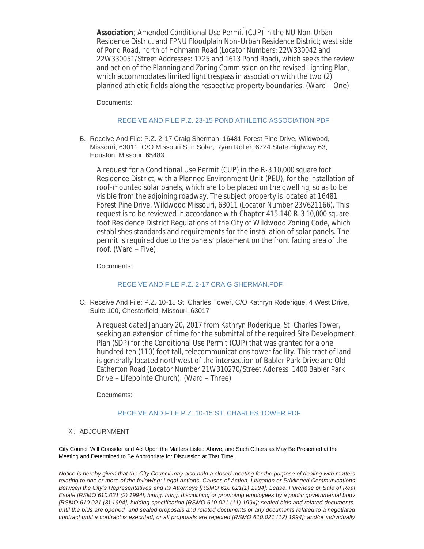President of the Pond Athletic Association, regarding **P.Z. 23-15 Pond Athletic Association**; Amended Conditional Use Permit (CUP) in the NU Non-Urban Residence District and FPNU Floodplain Non-Urban Residence District; west side of Pond Road, north of Hohmann Road (Locator Numbers: 22W330042 and 22W330051/Street Addresses: 1725 and 1613 Pond Road), which seeks the review and action of the Planning and Zoning Commission on the revised Lighting Plan, which accommodates limited light trespass in association with the two (2) planned athletic fields along the respective property boundaries. (Ward – One)

Documents:

# [RECEIVE AND FILE P.Z. 23-15 POND ATHLETIC ASSOCIATION.PDF](http://cityofwildwood.com/AgendaCenter/ViewFile/Item/9758?fileID=14151)

B. Receive And File: P.Z. 2-17 Craig Sherman, 16481 Forest Pine Drive, Wildwood, Missouri, 63011, C/O Missouri Sun Solar, Ryan Roller, 6724 State Highway 63, Houston, Missouri 65483

A request for a Conditional Use Permit (CUP) in the R-3 10,000 square foot Residence District, with a Planned Environment Unit (PEU), for the installation of roof-mounted solar panels, which are to be placed on the dwelling, so as to be visible from the adjoining roadway. The subject property is located at 16481 Forest Pine Drive, Wildwood Missouri, 63011 (Locator Number 23V621166). This request is to be reviewed in accordance with Chapter 415.140 R-3 10,000 square foot Residence District Regulations of the City of Wildwood Zoning Code, which establishes standards and requirements for the installation of solar panels. The permit is required due to the panels' placement on the front facing area of the roof. (Ward – Five)

Documents:

## RECEIVE AND FILE P.Z. 2-17 CRAIG SHERMAN PDE

C. Receive And File: P.Z. 10-15 St. Charles Tower, C/O Kathryn Roderique, 4 West Drive, Suite 100, Chesterfield, Missouri, 63017

A request dated January 20, 2017 from Kathryn Roderique, St. Charles Tower, seeking an extension of time for the submittal of the required Site Development Plan (SDP) for the Conditional Use Permit (CUP) that was granted for a one hundred ten (110) foot tall, telecommunications tower facility. This tract of land is generally located northwest of the intersection of Babler Park Drive and Old Eatherton Road (Locator Number 21W310270/Street Address: 1400 Babler Park Drive – Lifepointe Church). (Ward – Three)

Documents:

# [RECEIVE AND FILE P.Z. 10-15 ST. CHARLES TOWER.PDF](http://cityofwildwood.com/AgendaCenter/ViewFile/Item/9760?fileID=14153)

## XI. ADJOURNMENT

City Council Will Consider and Act Upon the Matters Listed Above, and Such Others as May Be Presented at the Meeting and Determined to Be Appropriate for Discussion at That Time.

*Notice is hereby given that the City Council may also hold a closed meeting for the purpose of dealing with matters relating to one or more of the following: Legal Actions, Causes of Action, Litigation or Privileged Communications Between the City's Representatives and its Attorneys [RSMO 610.021(1) 1994]; Lease, Purchase or Sale of Real Estate [RSMO 610.021 (2) 1994]; hiring, firing, disciplining or promoting employees by a public governmental body [RSMO 610.021 (3) 1994]; bidding specification [RSMO 610.021 (11) 1994]; sealed bids and related documents, until the bids are opened' and sealed proposals and related documents or any documents related to a negotiated contract until a contract is executed, or all proposals are rejected [RSMO 610.021 (12) 1994]; and/or individually*